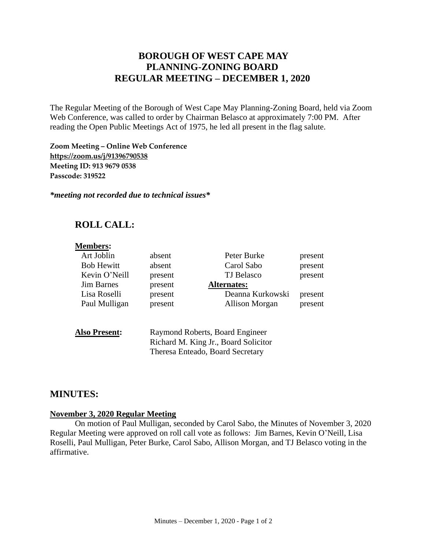## **BOROUGH OF WEST CAPE MAY PLANNING-ZONING BOARD REGULAR MEETING – DECEMBER 1, 2020**

The Regular Meeting of the Borough of West Cape May Planning-Zoning Board, held via Zoom Web Conference, was called to order by Chairman Belasco at approximately 7:00 PM. After reading the Open Public Meetings Act of 1975, he led all present in the flag salute.

**Zoom Meeting – Online Web Conference <https://zoom.us/j/91396790538> Meeting ID: 913 9679 0538 Passcode: 319522**

*\*meeting not recorded due to technical issues\**

# **ROLL CALL:**

#### **Members:**

| Art Joblin        | absent  | Peter Burke           | present |
|-------------------|---------|-----------------------|---------|
| <b>Bob Hewitt</b> | absent  | Carol Sabo            | present |
| Kevin O'Neill     | present | TJ Belasco            | present |
| <b>Jim Barnes</b> | present | <b>Alternates:</b>    |         |
| Lisa Roselli      | present | Deanna Kurkowski      | present |
|                   |         |                       |         |
| Paul Mulligan     | present | <b>Allison Morgan</b> | present |
|                   |         |                       |         |

| <b>Also Present:</b> | Raymond Roberts, Board Engineer      |  |  |
|----------------------|--------------------------------------|--|--|
|                      | Richard M. King Jr., Board Solicitor |  |  |
|                      | Theresa Enteado, Board Secretary     |  |  |

### **MINUTES:**

#### **November 3, 2020 Regular Meeting**

On motion of Paul Mulligan, seconded by Carol Sabo, the Minutes of November 3, 2020 Regular Meeting were approved on roll call vote as follows: Jim Barnes, Kevin O'Neill, Lisa Roselli, Paul Mulligan, Peter Burke, Carol Sabo, Allison Morgan, and TJ Belasco voting in the affirmative.